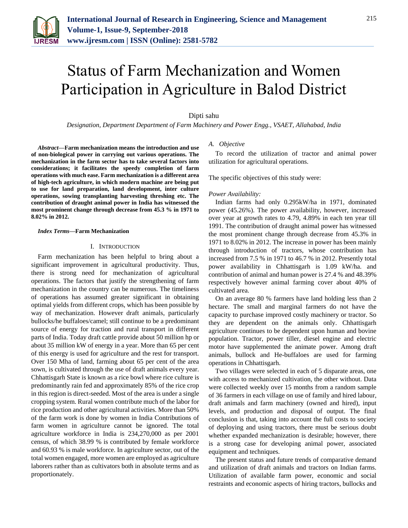

# Status of Farm Mechanization and Women Participation in Agriculture in Balod District

# Dipti sahu

*Designation, Department Department of Farm Machinery and Power Engg., VSAET, Allahabad, India*

*Abstract***—Farm mechanization means the introduction and use of non-biological power in carrying out various operations. The mechanization in the farm sector has to take several factors into considerations; it facilitates the speedy completion of farm operations with much ease. Farm mechanization is a different area of high-tech agriculture, in which modern machine are being put to use for land preparation, land development, inter culture operations, sowing transplanting harvesting threshing etc. The contribution of draught animal power in India has witnessed the most prominent change through decrease from 45.3 % in 1971 to 8.02% in 2012.**

#### *Index Terms***—Farm Mechanization**

# I. INTRODUCTION

Farm mechanization has been helpful to bring about a significant improvement in agricultural productivity. Thus, there is strong need for mechanization of agricultural operations. The factors that justify the strengthening of farm mechanization in the country can be numerous. The timeliness of operations has assumed greater significant in obtaining optimal yields from different crops, which has been possible by way of mechanization. However draft animals, particularly bullocks/he buffaloes/camel; still continue to be a predominant source of energy for traction and rural transport in different parts of India. Today draft cattle provide about 50 million hp or about 35 million kW of energy in a year. More than 65 per cent of this energy is used for agriculture and the rest for transport. Over 150 Mha of land, farming about 65 per cent of the area sown, is cultivated through the use of draft animals every year. Chhattisgarh State is known as a rice bowl where rice culture is predominantly rain fed and approximately 85% of the rice crop in this region is direct-seeded. Most of the area is under a single cropping system. Rural women contribute much of the labor for rice production and other agricultural activities. More than 50% of the farm work is done by women in India Contributions of farm women in agriculture cannot be ignored. The total agriculture workforce in India is 234,270,000 as per 2001 census, of which 38.99 % is contributed by female workforce and 60.93 % is male workforce. In agriculture sector, out of the total women engaged, more women are employed as agriculture laborers rather than as cultivators both in absolute terms and as proportionately.

# *A. Objective*

To record the utilization of tractor and animal power utilization for agricultural operations.

The specific objectives of this study were:

#### *Power Availability:*

Indian farms had only 0.295kW/ha in 1971, dominated power (45.26%). The power availability, however, increased over year at growth rates to 4.79, 4.89% in each ten year till 1991. The contribution of draught animal power has witnessed the most prominent change through decrease from 45.3% in 1971 to 8.02% in 2012. The increase in power has been mainly through introduction of tractors, whose contribution has increased from 7.5 % in 1971 to 46.7 % in 2012. Presently total power availability in Chhattisgarh is 1.09 kW/ha. and contribution of animal and human power is 27.4 % and 48.39% respectively however animal farming cover about 40% of cultivated area.

On an average 80 % farmers have land holding less than 2 hectare. The small and marginal farmers do not have the capacity to purchase improved costly machinery or tractor. So they are dependent on the animals only. Chhattisgarh agriculture continues to be dependent upon human and bovine population. Tractor, power tiller, diesel engine and electric motor have supplemented the animate power. Among draft animals, bullock and He-buffaloes are used for farming operations in Chhattisgarh.

Two villages were selected in each of 5 disparate areas, one with access to mechanized cultivation, the other without. Data were collected weekly over 15 months from a random sample of 36 farmers in each village on use of family and hired labour, draft animals and farm machinery (owned and hired), input levels, and production and disposal of output. The final conclusion is that, taking into account the full costs to society of deploying and using tractors, there must be serious doubt whether expanded mechanization is desirable; however, there is a strong case for developing animal power, associated equipment and techniques.

The present status and future trends of comparative demand and utilization of draft animals and tractors on Indian farms. Utilization of available farm power, economic and social restraints and economic aspects of hiring tractors, bullocks and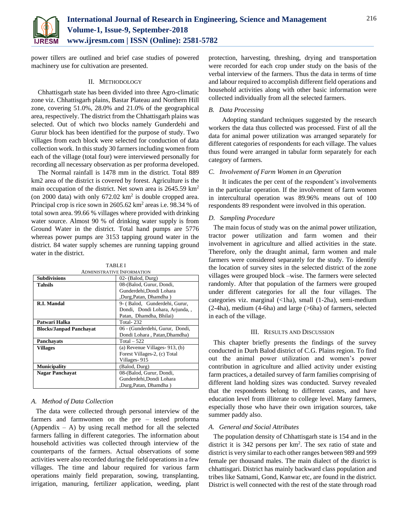

power tillers are outlined and brief case studies of powered machinery use for cultivation are presented.

## II. METHODOLOGY

Chhattisgarh state has been divided into three Agro-climatic zone viz. Chhattisgarh plains, Bastar Plateau and Northern Hill zone, covering 51.0%, 28.0% and 21.0% of the geographical area, respectively. The district from the Chhattisgarh plains was selected. Out of which two blocks namely Gunderdehi and Gurur block has been identified for the purpose of study. Two villages from each block were selected for conduction of data collection work. In this study 30 farmers including women from each of the village (total four) were interviewed personally for recording all necessary observation as per proforma developed.

The Normal rainfall is 1478 mm in the district. Total 889 km2 area of the district is covered by forest. Agriculture is the main occupation of the district. Net sown area is 2645.59 km<sup>2</sup> (on 2000 data) with only  $672.02 \text{ km}^2$  is double cropped area. Principal crop is rice sown in 2605.62 km<sup>2</sup> areas i.e. 98.34 % of total sown area. 99.66 % villages where provided with drinking water source. Almost 90 % of drinking water supply is from Ground Water in the district. Total hand pumps are 5776 whereas power pumps are 3153 tapping ground water in the district. 84 water supply schemes are running tapping ground water in the district.

TABLE I

| <b>ADMINISTRATIVE INFORMATION</b> |                                   |  |  |  |
|-----------------------------------|-----------------------------------|--|--|--|
| <b>Subdivisions</b>               | 02- (Balod, Durg)                 |  |  |  |
| <b>Tahsils</b>                    | 08-(Balod, Gurur, Dondi,          |  |  |  |
|                                   | Gunderdehi.Dondi Lohara           |  |  |  |
|                                   | ,Durg,Patan, Dhamdha)             |  |  |  |
| <b>R.I. Mandal</b>                | 9- (Balod, Gunderdehi, Gurur,     |  |  |  |
|                                   | Dondi, Dondi Lohara, Arjunda, ,   |  |  |  |
|                                   | Patan, Dhamdha, Bhilai)           |  |  |  |
| Patwari Halka                     | Total-232                         |  |  |  |
| <b>Blocks/Janpad Panchavat</b>    | 06 - (Gunderdehi, Gurur, Dondi,   |  |  |  |
|                                   | Dondi Lohara, Patan, Dhamdha)     |  |  |  |
| Panchavats                        | $Total - 522$                     |  |  |  |
| Villages                          | (a) Revenue Villages- $913$ , (b) |  |  |  |
|                                   | Forest Villages-2, (c) Total      |  |  |  |
|                                   | Villages-915                      |  |  |  |
| <b>Municipality</b>               | (Balod, Durg)                     |  |  |  |
| <b>Nagar Panchayat</b>            | 08-(Balod, Gurur, Dondi,          |  |  |  |
|                                   | Gunderdehi, Dondi Lohara          |  |  |  |
|                                   | ,Durg,Patan, Dhamdha)             |  |  |  |

# *A. Method of Data Collection*

The data were collected through personal interview of the farmers and farmwomen on the pre – tested proforma (Appendix  $- A$ ) by using recall method for all the selected farmers falling in different categories. The information about household activities was collected through interview of the counterparts of the farmers. Actual observations of some activities were also recorded during the field operations in a few villages. The time and labour required for various farm operations mainly field preparation, sowing, transplanting, irrigation, manuring, fertilizer application, weeding, plant

protection, harvesting, threshing, drying and transportation were recorded for each crop under study on the basis of the verbal interview of the farmers. Thus the data in terms of time and labour required to accomplish different field operations and household activities along with other basic information were collected individually from all the selected farmers.

# *B. Data Processing*

Adopting standard techniques suggested by the research workers the data thus collected was processed. First of all the data for animal power utilization was arranged separately for different categories of respondents for each village. The values thus found were arranged in tabular form separately for each category of farmers.

### *C. Involvement of Farm Women in an Operation*

It indicates the per cent of the respondent's involvements in the particular operation. If the involvement of farm women in intercultural operation was 89.96% means out of 100 respondents 89 respondent were involved in this operation.

# *D. Sampling Procedure*

The main focus of study was on the animal power utilization, tractor power utilization and farm women and their involvement in agriculture and allied activities in the state. Therefore, only the draught animal, farm women and male farmers were considered separately for the study. To identify the location of survey sites in the selected district of the zone villages were grouped block –wise. The farmers were selected randomly. After that population of the farmers were grouped under different categories for all the four villages. The categories viz. marginal (<1ha), small (1-2ha), semi-medium (2-4ha), medium (4-6ha) and large (>6ha) of farmers, selected in each of the village.

### III. RESULTS AND DISCUSSION

This chapter briefly presents the findings of the survey conducted in Durh Balod district of C.G. Plains region. To find out the animal power utilization and women's power contribution in agriculture and allied activity under existing farm practices, a detailed survey of farm families comprising of different land holding sizes was conducted. Survey revealed that the respondents belong to different castes, and have education level from illiterate to college level. Many farmers, especially those who have their own irrigation sources, take summer paddy also.

#### *A. General and Social Attributes*

The population density of Chhattisgarh state is 154 and in the district it is 342 persons per km<sup>2</sup>. The sex ratio of state and district is very similar to each other ranges between 989 and 999 female per thousand males. The main dialect of the district is chhattisgari. District has mainly backward class population and tribes like Satnami, Gond, Kanwar etc, are found in the district. District is well connected with the rest of the state through road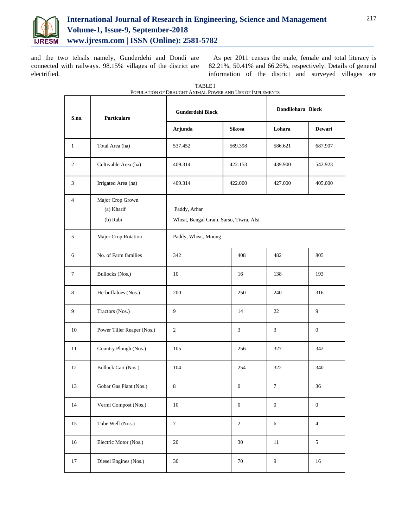

and the two tehsils namely, Gunderdehi and Dondi are connected with railways. 98.15% villages of the district are electrified.

As per 2011 census the male, female and total literacy is 82.21%, 50.41% and 66.26%, respectively. Details of general information of the district and surveyed villages are

| S.no.          | <b>Particulars</b>                         | Gunderdehi Block                                       |                  | Dondilohara Block |                  |  |
|----------------|--------------------------------------------|--------------------------------------------------------|------------------|-------------------|------------------|--|
|                |                                            | Arjunda                                                | <b>Sikosa</b>    | Lohara            | Dewari           |  |
| $\mathbf{1}$   | Total Area (ha)                            | 537.452                                                | 569.398          | 586.621           | 687.907          |  |
| $\overline{c}$ | Cultivable Area (ha)                       | 409.314                                                | 422.153          | 439.900           | 542.923          |  |
| 3              | Irrigated Area (ha)                        | 409.314                                                | 422.000          | 427.000           | 405.000          |  |
| $\overline{4}$ | Major Crop Grown<br>(a) Kharif<br>(b) Rabi | Paddy, Arhar<br>Wheat, Bengal Gram, Sarso, Tiwra, Alsi |                  |                   |                  |  |
| 5              | Major Crop Rotation                        | Paddy, Wheat, Moong                                    |                  |                   |                  |  |
| 6              | No. of Farm families                       | 342                                                    | 408              | 482               | 805              |  |
| 7              | Bullocks (Nos.)                            | 10                                                     | 16               | 138               | 193              |  |
| 8              | He-buffaloes (Nos.)                        | 200                                                    | 250              | 240               | 316              |  |
| 9              | Tractors (Nos.)                            | 9                                                      | 14               | 22                | 9                |  |
| 10             | Power Tiller Reaper (Nos.)                 | 2                                                      | 3                | 3                 | $\mathbf{0}$     |  |
| 11             | Country Plough (Nos.)                      | 105                                                    | 256              | 327               | 342              |  |
| 12             | <b>Bollock Cart (Nos.)</b>                 | 104                                                    | 254              | 322               | 340              |  |
| 13             | Gobar Gas Plant (Nos.)                     | 8                                                      | $\mathbf{0}$     | 7                 | 36               |  |
| 14             | Vermi Compost (Nos.)                       | $10\,$                                                 | $\boldsymbol{0}$ | $\boldsymbol{0}$  | $\boldsymbol{0}$ |  |
| 15             | Tube Well (Nos.)                           | $\boldsymbol{7}$                                       | $\boldsymbol{2}$ | 6                 | $\overline{4}$   |  |
| 16             | Electric Motor (Nos.)                      | $20\,$                                                 | $30\,$           | 11                | 5                |  |
| 17             | Diesel Engines (Nos.)                      | $30\,$                                                 | $70\,$           | $\boldsymbol{9}$  | 16               |  |

TABLE I POPULATION OF DRAUGHT ANIMAL POWER AND USE OF IMPLEMENTS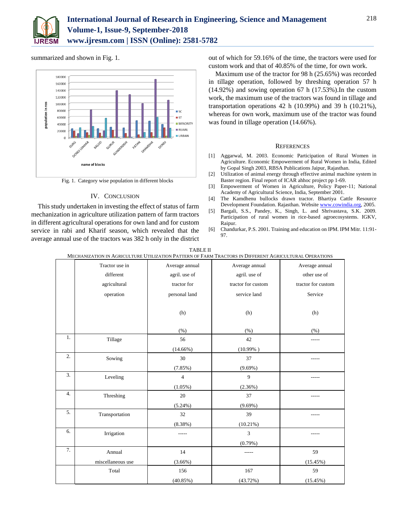

summarized and shown in Fig. 1.



Fig. 1. Category wise population in different blocks

## IV. CONCLUSION

This study undertaken in investing the effect of status of farm mechanization in agriculture utilization pattern of farm tractors in different agricultural operations for own land and for custom service in rabi and Kharif season, which revealed that the average annual use of the tractors was 382 h only in the district out of which for 59.16% of the time, the tractors were used for custom work and that of 40.85% of the time, for own work.

Maximum use of the tractor for 98 h (25.65%) was recorded in tillage operation, followed by threshing operation 57 h (14.92%) and sowing operation 67 h (17.53%).In the custom work, the maximum use of the tractors was found in tillage and transportation operations 42 h (10.99%) and 39 h (10.21%), whereas for own work, maximum use of the tractor was found was found in tillage operation (14.66%).

#### **REFERENCES**

- [1] Aggarwal, M. 2003. Economic Participation of Rural Women in Agriculture. Economic Empowerment of Rural Women in India, Edited by Gopal Singh 2003, RBSA Publications Jaipur, Rajasthan.
- [2] Utilization of animal energy through effective animal machine system in Baster region. Final report of ICAR ahhoc project pp 1-69.
- [3] Empowerment of Women in Agriculture, Policy Paper-11; National Academy of Agricultural Science, India, September 2001.
- [4] The Kamdhenu bullocks drawn tractor. Bhartiya Cattle Resource Development Foundation. Rajasthan. Websit[e www.cowindia.org,](http://www.cowindia.org/) 2005.
- [5] Bargali, S.S., Pandey, K., Singh, L. and Shrivastava, S.K. 2009. Participation of rural women in rice-based agroecosystems. IGKV, Raipur.
- [6] Chandurkar, P.S. 2001. Training and education on IPM. IPM Mitr. 11:91- 97.

| MECHANIZATION IN AGRICULTURE UTILIZATION PATTERN OF FARM TRACTORS IN DIFFERENT AGRICULTURAL OPERATIONS |                   |                |                    |                    |  |  |  |
|--------------------------------------------------------------------------------------------------------|-------------------|----------------|--------------------|--------------------|--|--|--|
|                                                                                                        | Tractor use in    | Average annual | Average annual     | Average annual     |  |  |  |
|                                                                                                        | different         | agril. use of  | agril. use of      | other use of       |  |  |  |
|                                                                                                        | agricultural      | tractor for    | tractor for custom | tractor for custom |  |  |  |
|                                                                                                        | operation         | personal land  | service land       | Service            |  |  |  |
|                                                                                                        |                   |                |                    |                    |  |  |  |
|                                                                                                        |                   | (h)            | (h)                | (h)                |  |  |  |
|                                                                                                        |                   |                |                    |                    |  |  |  |
|                                                                                                        |                   | (% )           | (%)                | (% )               |  |  |  |
| 1.                                                                                                     | Tillage           | 56             | 42                 | -----              |  |  |  |
|                                                                                                        |                   | $(14.66\%)$    | $(10.99\%)$        |                    |  |  |  |
| 2.                                                                                                     | Sowing            | 30             | 37                 |                    |  |  |  |
|                                                                                                        |                   | (7.85%)        | $(9.69\%)$         |                    |  |  |  |
| 3.                                                                                                     | Leveling          | $\overline{4}$ | 9                  |                    |  |  |  |
|                                                                                                        |                   | $(1.05\%)$     | $(2.36\%)$         |                    |  |  |  |
| 4.                                                                                                     | Threshing         | 20             | 37                 |                    |  |  |  |
|                                                                                                        |                   | $(5.24\%)$     | $(9.69\%)$         |                    |  |  |  |
| 5.                                                                                                     | Transportation    | 32             | 39                 |                    |  |  |  |
|                                                                                                        |                   | $(8.38\%)$     | $(10.21\%)$        |                    |  |  |  |
| 6.                                                                                                     | Irrigation        | -----          | $\overline{3}$     |                    |  |  |  |
|                                                                                                        |                   |                | (0.79%             |                    |  |  |  |
| 7.                                                                                                     | Annual            | 14             | -----              | 59                 |  |  |  |
|                                                                                                        | miscellaneous use | $(3.66\%)$     |                    | (15.45%)           |  |  |  |
|                                                                                                        | Total             | 156            | 167                | 59                 |  |  |  |
|                                                                                                        |                   | $(40.85\%)$    | (43.72%)           | (15.45%)           |  |  |  |

TABLE II